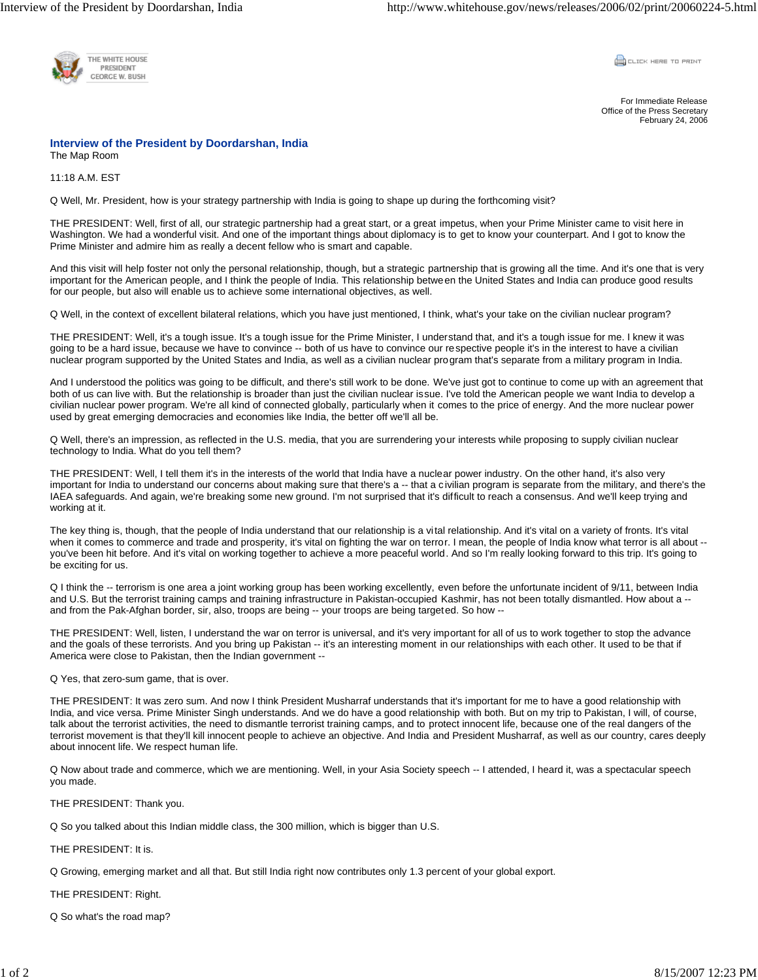

CLICK HERE TO PRINT

For Immediate Release Office of the Press Secretary February 24, 2006

## **Interview of the President by Doordarshan, India**  The Map Room

11:18 A.M. EST

Q Well, Mr. President, how is your strategy partnership with India is going to shape up during the forthcoming visit?

THE PRESIDENT: Well, first of all, our strategic partnership had a great start, or a great impetus, when your Prime Minister came to visit here in Washington. We had a wonderful visit. And one of the important things about diplomacy is to get to know your counterpart. And I got to know the Prime Minister and admire him as really a decent fellow who is smart and capable.

And this visit will help foster not only the personal relationship, though, but a strategic partnership that is growing all the time. And it's one that is very important for the American people, and I think the people of India. This relationship between the United States and India can produce good results for our people, but also will enable us to achieve some international objectives, as well.

Q Well, in the context of excellent bilateral relations, which you have just mentioned, I think, what's your take on the civilian nuclear program?

THE PRESIDENT: Well, it's a tough issue. It's a tough issue for the Prime Minister, I understand that, and it's a tough issue for me. I knew it was going to be a hard issue, because we have to convince -- both of us have to convince our respective people it's in the interest to have a civilian nuclear program supported by the United States and India, as well as a civilian nuclear program that's separate from a military program in India.

And I understood the politics was going to be difficult, and there's still work to be done. We've just got to continue to come up with an agreement that both of us can live with. But the relationship is broader than just the civilian nuclear issue. I've told the American people we want India to develop a civilian nuclear power program. We're all kind of connected globally, particularly when it comes to the price of energy. And the more nuclear power used by great emerging democracies and economies like India, the better off we'll all be.

Q Well, there's an impression, as reflected in the U.S. media, that you are surrendering your interests while proposing to supply civilian nuclear technology to India. What do you tell them?

THE PRESIDENT: Well, I tell them it's in the interests of the world that India have a nuclear power industry. On the other hand, it's also very important for India to understand our concerns about making sure that there's a -- that a civilian program is separate from the military, and there's the IAEA safeguards. And again, we're breaking some new ground. I'm not surprised that it's difficult to reach a consensus. And we'll keep trying and working at it.

The key thing is, though, that the people of India understand that our relationship is a vital relationship. And it's vital on a variety of fronts. It's vital when it comes to commerce and trade and prosperity, it's vital on fighting the war on terror. I mean, the people of India know what terror is all about -you've been hit before. And it's vital on working together to achieve a more peaceful world. And so I'm really looking forward to this trip. It's going to be exciting for us.

Q I think the -- terrorism is one area a joint working group has been working excellently, even before the unfortunate incident of 9/11, between India and U.S. But the terrorist training camps and training infrastructure in Pakistan-occupied Kashmir, has not been totally dismantled. How about a -and from the Pak-Afghan border, sir, also, troops are being -- your troops are being targeted. So how --

THE PRESIDENT: Well, listen, I understand the war on terror is universal, and it's very important for all of us to work together to stop the advance and the goals of these terrorists. And you bring up Pakistan -- it's an interesting moment in our relationships with each other. It used to be that if America were close to Pakistan, then the Indian government --

Q Yes, that zero-sum game, that is over.

THE PRESIDENT: It was zero sum. And now I think President Musharraf understands that it's important for me to have a good relationship with India, and vice versa. Prime Minister Singh understands. And we do have a good relationship with both. But on my trip to Pakistan, I will, of course, talk about the terrorist activities, the need to dismantle terrorist training camps, and to protect innocent life, because one of the real dangers of the terrorist movement is that they'll kill innocent people to achieve an objective. And India and President Musharraf, as well as our country, cares deeply about innocent life. We respect human life.

Q Now about trade and commerce, which we are mentioning. Well, in your Asia Society speech -- I attended, I heard it, was a spectacular speech you made.

THE PRESIDENT: Thank you.

Q So you talked about this Indian middle class, the 300 million, which is bigger than U.S.

THE PRESIDENT: It is.

Q Growing, emerging market and all that. But still India right now contributes only 1.3 percent of your global export.

THE PRESIDENT: Right.

Q So what's the road map?